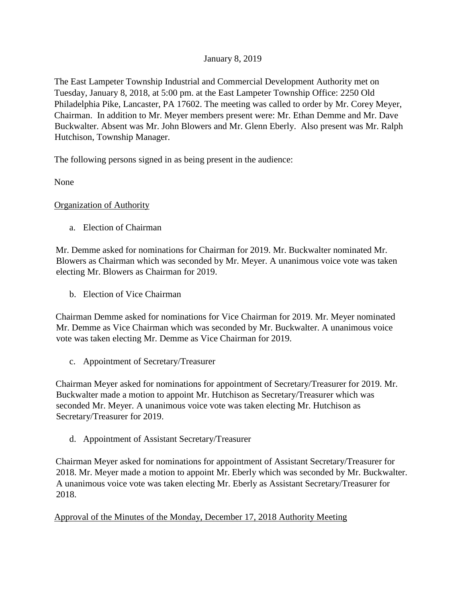# January 8, 2019

The East Lampeter Township Industrial and Commercial Development Authority met on Tuesday, January 8, 2018, at 5:00 pm. at the East Lampeter Township Office: 2250 Old Philadelphia Pike, Lancaster, PA 17602. The meeting was called to order by Mr. Corey Meyer, Chairman. In addition to Mr. Meyer members present were: Mr. Ethan Demme and Mr. Dave Buckwalter. Absent was Mr. John Blowers and Mr. Glenn Eberly. Also present was Mr. Ralph Hutchison, Township Manager.

The following persons signed in as being present in the audience:

None

### Organization of Authority

a. Election of Chairman

Mr. Demme asked for nominations for Chairman for 2019. Mr. Buckwalter nominated Mr. Blowers as Chairman which was seconded by Mr. Meyer. A unanimous voice vote was taken electing Mr. Blowers as Chairman for 2019.

b. Election of Vice Chairman

Chairman Demme asked for nominations for Vice Chairman for 2019. Mr. Meyer nominated Mr. Demme as Vice Chairman which was seconded by Mr. Buckwalter. A unanimous voice vote was taken electing Mr. Demme as Vice Chairman for 2019.

c. Appointment of Secretary/Treasurer

Chairman Meyer asked for nominations for appointment of Secretary/Treasurer for 2019. Mr. Buckwalter made a motion to appoint Mr. Hutchison as Secretary/Treasurer which was seconded Mr. Meyer. A unanimous voice vote was taken electing Mr. Hutchison as Secretary/Treasurer for 2019.

d. Appointment of Assistant Secretary/Treasurer

Chairman Meyer asked for nominations for appointment of Assistant Secretary/Treasurer for 2018. Mr. Meyer made a motion to appoint Mr. Eberly which was seconded by Mr. Buckwalter. A unanimous voice vote was taken electing Mr. Eberly as Assistant Secretary/Treasurer for 2018.

Approval of the Minutes of the Monday, December 17, 2018 Authority Meeting